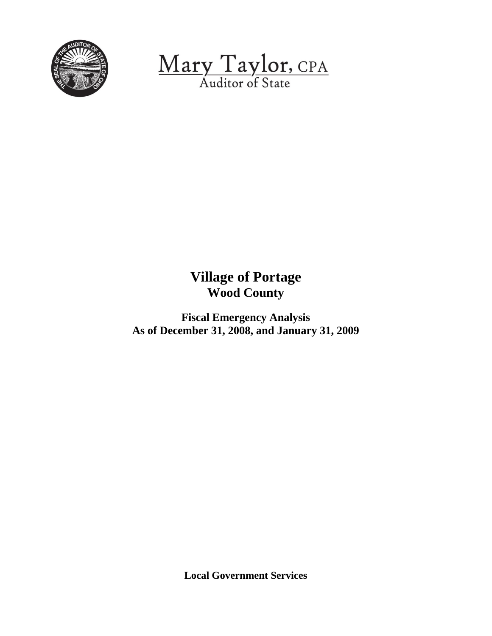

Mary Taylor, CPA

# **Village of Portage Wood County**

**Fiscal Emergency Analysis As of December 31, 2008, and January 31, 2009**

**Local Government Services**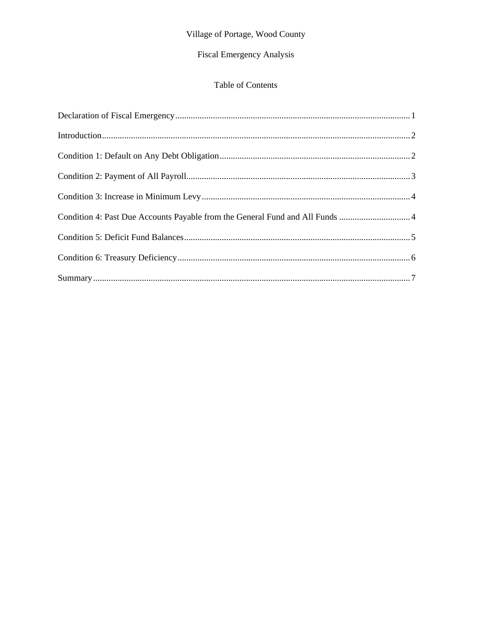# Village of Portage, Wood County

# Fiscal Emergency Analysis

## Table of Contents

| Condition 4: Past Due Accounts Payable from the General Fund and All Funds 4 |  |
|------------------------------------------------------------------------------|--|
|                                                                              |  |
|                                                                              |  |
|                                                                              |  |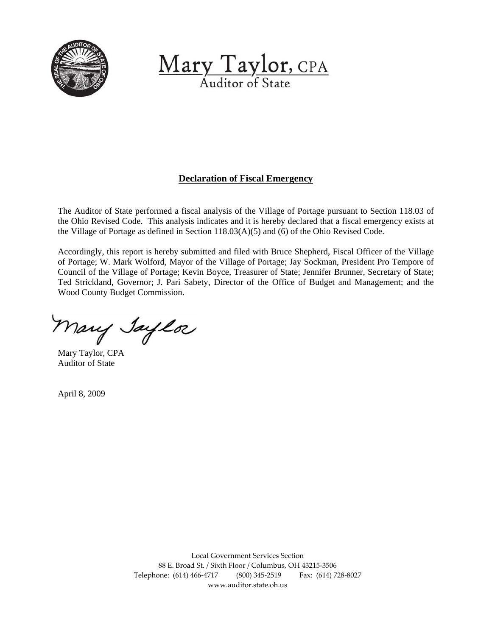<span id="page-2-0"></span>

Mary Taylor, CPA Auditor of State

### **Declaration of Fiscal Emergency**

The Auditor of State performed a fiscal analysis of the Village of Portage pursuant to Section 118.03 of the Ohio Revised Code. This analysis indicates and it is hereby declared that a fiscal emergency exists at the Village of Portage as defined in Section 118.03(A)(5) and (6) of the Ohio Revised Code.

Accordingly, this report is hereby submitted and filed with Bruce Shepherd, Fiscal Officer of the Village of Portage; W. Mark Wolford, Mayor of the Village of Portage; Jay Sockman, President Pro Tempore of Council of the Village of Portage; Kevin Boyce, Treasurer of State; Jennifer Brunner, Secretary of State; Ted Strickland, Governor; J. Pari Sabety, Director of the Office of Budget and Management; and the Wood County Budget Commission.

Mary Jaylor

Mary Taylor, CPA Auditor of State

April 8, 2009

Local Government Services Section 88 E. Broad St. / Sixth Floor / Columbus, OH 43215‐3506 Telephone: (614) 466‐4717 (800) 345‐2519 Fax: (614) 728‐8027 www.auditor.state.oh.us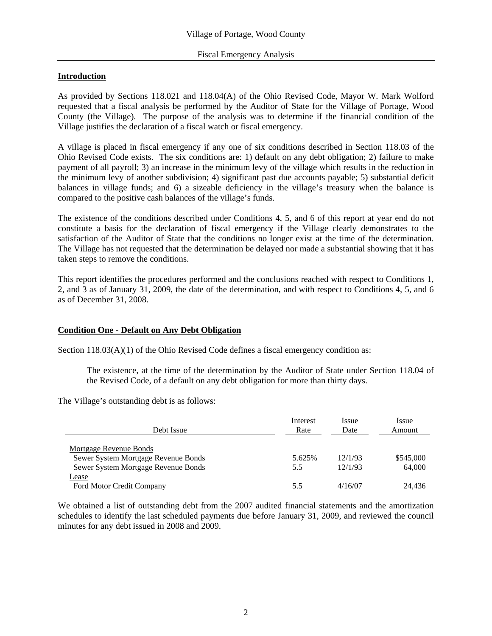#### <span id="page-3-0"></span>**Introduction**

As provided by Sections 118.021 and 118.04(A) of the Ohio Revised Code, Mayor W. Mark Wolford requested that a fiscal analysis be performed by the Auditor of State for the Village of Portage, Wood County (the Village). The purpose of the analysis was to determine if the financial condition of the Village justifies the declaration of a fiscal watch or fiscal emergency.

A village is placed in fiscal emergency if any one of six conditions described in Section 118.03 of the Ohio Revised Code exists. The six conditions are: 1) default on any debt obligation; 2) failure to make payment of all payroll; 3) an increase in the minimum levy of the village which results in the reduction in the minimum levy of another subdivision; 4) significant past due accounts payable; 5) substantial deficit balances in village funds; and 6) a sizeable deficiency in the village's treasury when the balance is compared to the positive cash balances of the village's funds.

The existence of the conditions described under Conditions 4, 5, and 6 of this report at year end do not constitute a basis for the declaration of fiscal emergency if the Village clearly demonstrates to the satisfaction of the Auditor of State that the conditions no longer exist at the time of the determination. The Village has not requested that the determination be delayed nor made a substantial showing that it has taken steps to remove the conditions.

This report identifies the procedures performed and the conclusions reached with respect to Conditions 1, 2, and 3 as of January 31, 2009, the date of the determination, and with respect to Conditions 4, 5, and 6 as of December 31, 2008.

#### **Condition One - Default on Any Debt Obligation**

Section 118.03(A)(1) of the Ohio Revised Code defines a fiscal emergency condition as:

The existence, at the time of the determination by the Auditor of State under Section 118.04 of the Revised Code, of a default on any debt obligation for more than thirty days.

The Village's outstanding debt is as follows:

| Debt Issue                          | Interest<br>Rate | <i>Issue</i><br>Date | <i>Issue</i><br>Amount |
|-------------------------------------|------------------|----------------------|------------------------|
| <b>Mortgage Revenue Bonds</b>       |                  |                      |                        |
| Sewer System Mortgage Revenue Bonds | 5.625%           | 12/1/93              | \$545,000              |
| Sewer System Mortgage Revenue Bonds | 5.5              | 12/1/93              | 64,000                 |
| Lease                               |                  |                      |                        |
| Ford Motor Credit Company           | 5.5              | 4/16/07              | 24.436                 |

We obtained a list of outstanding debt from the 2007 audited financial statements and the amortization schedules to identify the last scheduled payments due before January 31, 2009, and reviewed the council minutes for any debt issued in 2008 and 2009.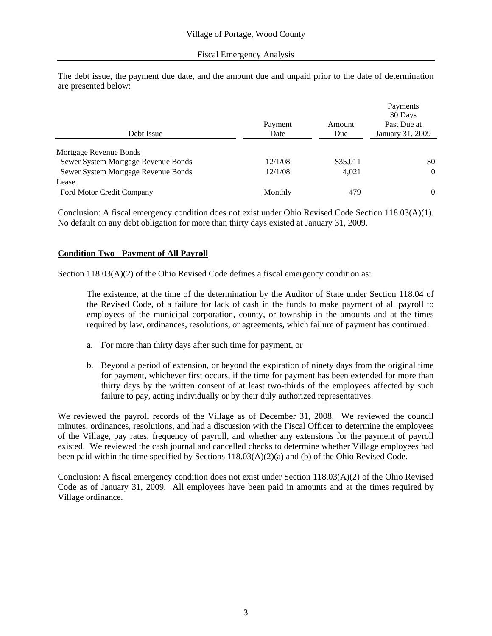<span id="page-4-0"></span>The debt issue, the payment due date, and the amount due and unpaid prior to the date of determination are presented below:

|                                     |         |          | Payments<br>30 Days |
|-------------------------------------|---------|----------|---------------------|
|                                     | Payment | Amount   | Past Due at         |
| Debt Issue                          | Date    | Due      | January 31, 2009    |
| Mortgage Revenue Bonds              |         |          |                     |
| Sewer System Mortgage Revenue Bonds | 12/1/08 | \$35,011 | \$0                 |
| Sewer System Mortgage Revenue Bonds | 12/1/08 | 4,021    | $\theta$            |
| <u>Lease</u>                        |         |          |                     |
| Ford Motor Credit Company           | Monthly | 479      | $\Omega$            |

Conclusion: A fiscal emergency condition does not exist under Ohio Revised Code Section 118.03(A)(1). No default on any debt obligation for more than thirty days existed at January 31, 2009.

#### **Condition Two - Payment of All Payroll**

Section 118.03(A)(2) of the Ohio Revised Code defines a fiscal emergency condition as:

The existence, at the time of the determination by the Auditor of State under Section 118.04 of the Revised Code, of a failure for lack of cash in the funds to make payment of all payroll to employees of the municipal corporation, county, or township in the amounts and at the times required by law, ordinances, resolutions, or agreements, which failure of payment has continued:

- a. For more than thirty days after such time for payment, or
- b. Beyond a period of extension, or beyond the expiration of ninety days from the original time for payment, whichever first occurs, if the time for payment has been extended for more than thirty days by the written consent of at least two-thirds of the employees affected by such failure to pay, acting individually or by their duly authorized representatives.

We reviewed the payroll records of the Village as of December 31, 2008. We reviewed the council minutes, ordinances, resolutions, and had a discussion with the Fiscal Officer to determine the employees of the Village, pay rates, frequency of payroll, and whether any extensions for the payment of payroll existed. We reviewed the cash journal and cancelled checks to determine whether Village employees had been paid within the time specified by Sections  $118.03(A)(2)(a)$  and (b) of the Ohio Revised Code.

Conclusion: A fiscal emergency condition does not exist under Section 118.03(A)(2) of the Ohio Revised Code as of January 31, 2009. All employees have been paid in amounts and at the times required by Village ordinance.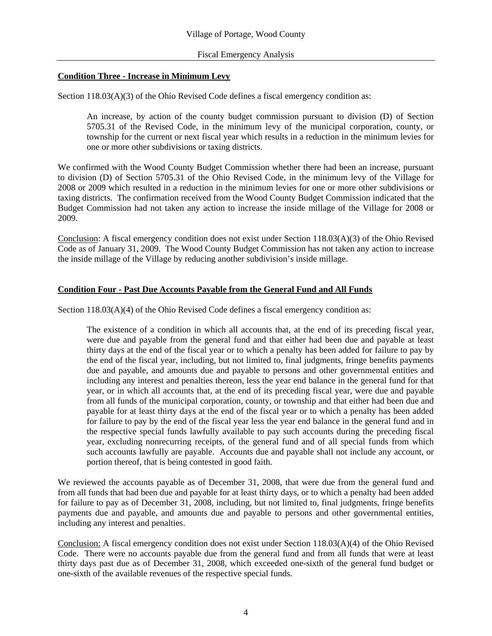#### <span id="page-5-0"></span>**Condition Three - Increase in Minimum Levy**

Section 118.03(A)(3) of the Ohio Revised Code defines a fiscal emergency condition as:

An increase, by action of the county budget commission pursuant to division (D) of Section 5705.31 of the Revised Code, in the minimum levy of the municipal corporation, county, or township for the current or next fiscal year which results in a reduction in the minimum levies for one or more other subdivisions or taxing districts.

We confirmed with the Wood County Budget Commission whether there had been an increase, pursuant to division (D) of Section 5705.31 of the Ohio Revised Code, in the minimum levy of the Village for 2008 or 2009 which resulted in a reduction in the minimum levies for one or more other subdivisions or taxing districts. The confirmation received from the Wood County Budget Commission indicated that the Budget Commission had not taken any action to increase the inside millage of the Village for 2008 or 2009.

Conclusion: A fiscal emergency condition does not exist under Section 118.03(A)(3) of the Ohio Revised Code as of January 31, 2009. The Wood County Budget Commission has not taken any action to increase the inside millage of the Village by reducing another subdivision's inside millage.

#### **Condition Four - Past Due Accounts Payable from the General Fund and All Funds**

Section 118.03(A)(4) of the Ohio Revised Code defines a fiscal emergency condition as:

 The existence of a condition in which all accounts that, at the end of its preceding fiscal year, were due and payable from the general fund and that either had been due and payable at least thirty days at the end of the fiscal year or to which a penalty has been added for failure to pay by the end of the fiscal year, including, but not limited to, final judgments, fringe benefits payments due and payable, and amounts due and payable to persons and other governmental entities and including any interest and penalties thereon, less the year end balance in the general fund for that year, or in which all accounts that, at the end of its preceding fiscal year, were due and payable from all funds of the municipal corporation, county, or township and that either had been due and payable for at least thirty days at the end of the fiscal year or to which a penalty has been added for failure to pay by the end of the fiscal year less the year end balance in the general fund and in the respective special funds lawfully available to pay such accounts during the preceding fiscal year, excluding nonrecurring receipts, of the general fund and of all special funds from which such accounts lawfully are payable. Accounts due and payable shall not include any account, or portion thereof, that is being contested in good faith.

We reviewed the accounts payable as of December 31, 2008, that were due from the general fund and from all funds that had been due and payable for at least thirty days, or to which a penalty had been added for failure to pay as of December 31, 2008, including, but not limited to, final judgments, fringe benefits payments due and payable, and amounts due and payable to persons and other governmental entities, including any interest and penalties.

Conclusion: A fiscal emergency condition does not exist under Section 118.03(A)(4) of the Ohio Revised Code. There were no accounts payable due from the general fund and from all funds that were at least thirty days past due as of December 31, 2008, which exceeded one-sixth of the general fund budget or one-sixth of the available revenues of the respective special funds.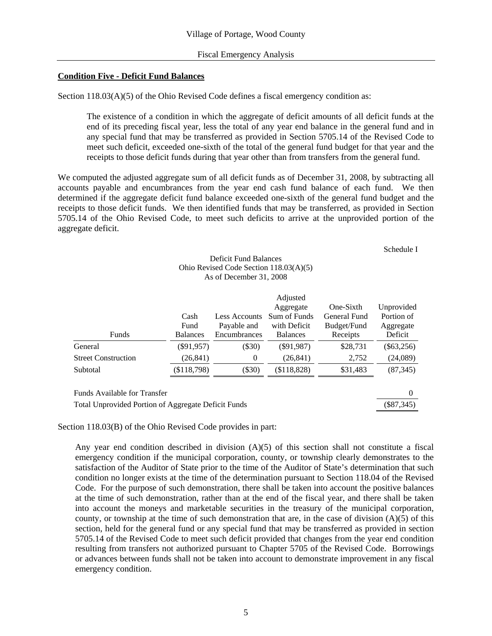#### <span id="page-6-0"></span>**Condition Five - Deficit Fund Balances**

Section 118.03(A)(5) of the Ohio Revised Code defines a fiscal emergency condition as:

The existence of a condition in which the aggregate of deficit amounts of all deficit funds at the end of its preceding fiscal year, less the total of any year end balance in the general fund and in any special fund that may be transferred as provided in Section 5705.14 of the Revised Code to meet such deficit, exceeded one-sixth of the total of the general fund budget for that year and the receipts to those deficit funds during that year other than from transfers from the general fund.

We computed the adjusted aggregate sum of all deficit funds as of December 31, 2008, by subtracting all accounts payable and encumbrances from the year end cash fund balance of each fund. We then determined if the aggregate deficit fund balance exceeded one-sixth of the general fund budget and the receipts to those deficit funds. We then identified funds that may be transferred, as provided in Section 5705.14 of the Ohio Revised Code, to meet such deficits to arrive at the unprovided portion of the aggregate deficit.

Schedule I

#### Deficit Fund Balances Ohio Revised Code Section 118.03(A)(5) As of December 31, 2008

| Funds                        | Cash<br>Fund<br><b>Balances</b> | <b>Less Accounts</b><br>Payable and<br>Encumbrances | Adjusted<br>Aggregate<br>Sum of Funds<br>with Deficit<br><b>Balances</b> | One-Sixth<br>General Fund<br>Budget/Fund<br>Receipts | Unprovided<br>Portion of<br>Aggregate<br>Deficit |
|------------------------------|---------------------------------|-----------------------------------------------------|--------------------------------------------------------------------------|------------------------------------------------------|--------------------------------------------------|
| General                      | $(\$91,957)$                    | $(\$30)$                                            | $(\$91,987)$                                                             | \$28,731                                             | $(\$63,256)$                                     |
| <b>Street Construction</b>   | (26, 841)                       | 0                                                   | (26, 841)                                                                | 2,752                                                | (24,089)                                         |
| Subtotal                     | (\$118,798)                     | $(\$30)$                                            | (\$118,828)                                                              | \$31,483                                             | (87, 345)                                        |
| Funds Available for Transfer |                                 |                                                     |                                                                          |                                                      | O                                                |

Total Unprovided Portion of Aggregate Deficit Funds (\$87,345)

Section 118.03(B) of the Ohio Revised Code provides in part:

Any year end condition described in division (A)(5) of this section shall not constitute a fiscal emergency condition if the municipal corporation, county, or township clearly demonstrates to the satisfaction of the Auditor of State prior to the time of the Auditor of State's determination that such condition no longer exists at the time of the determination pursuant to Section 118.04 of the Revised Code. For the purpose of such demonstration, there shall be taken into account the positive balances at the time of such demonstration, rather than at the end of the fiscal year, and there shall be taken into account the moneys and marketable securities in the treasury of the municipal corporation, county, or township at the time of such demonstration that are, in the case of division (A)(5) of this section, held for the general fund or any special fund that may be transferred as provided in section 5705.14 of the Revised Code to meet such deficit provided that changes from the year end condition resulting from transfers not authorized pursuant to Chapter 5705 of the Revised Code. Borrowings or advances between funds shall not be taken into account to demonstrate improvement in any fiscal emergency condition.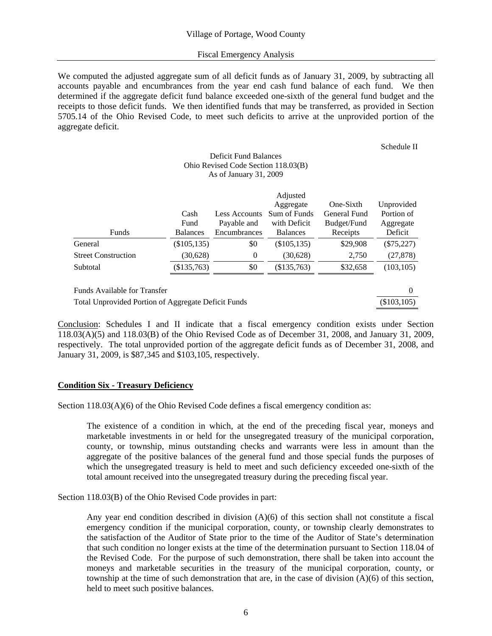#### Fiscal Emergency Analysis

<span id="page-7-0"></span>We computed the adjusted aggregate sum of all deficit funds as of January 31, 2009, by subtracting all accounts payable and encumbrances from the year end cash fund balance of each fund. We then determined if the aggregate deficit fund balance exceeded one-sixth of the general fund budget and the receipts to those deficit funds. We then identified funds that may be transferred, as provided in Section 5705.14 of the Ohio Revised Code, to meet such deficits to arrive at the unprovided portion of the aggregate deficit.

#### Schedule II

#### Deficit Fund Balances Ohio Revised Code Section 118.03(B) As of January 31, 2009

|                              |                 |                      | Adjusted        |              |              |
|------------------------------|-----------------|----------------------|-----------------|--------------|--------------|
|                              |                 |                      | Aggregate       | One-Sixth    | Unprovided   |
|                              | Cash            | <b>Less Accounts</b> | Sum of Funds    | General Fund | Portion of   |
|                              | Fund            | Payable and          | with Deficit    | Budget/Fund  | Aggregate    |
| Funds                        | <b>Balances</b> | Encumbrances         | <b>Balances</b> | Receipts     | Deficit      |
| General                      | (\$105, 135)    | \$0                  | $(\$105,135)$   | \$29,908     | $(\$75,227)$ |
| <b>Street Construction</b>   | (30,628)        | 0                    | (30,628)        | 2,750        | (27, 878)    |
| Subtotal                     | (\$135,763)     | \$0                  | (\$135,763)     | \$32,658     | (103, 105)   |
|                              |                 |                      |                 |              |              |
| Funds Available for Transfer |                 |                      |                 |              | $\Omega$     |

Total Unprovided Portion of Aggregate Deficit Funds (\$103,105) (\$103,105)

Conclusion: Schedules I and II indicate that a fiscal emergency condition exists under Section 118.03(A)(5) and 118.03(B) of the Ohio Revised Code as of December 31, 2008, and January 31, 2009, respectively. The total unprovided portion of the aggregate deficit funds as of December 31, 2008, and January 31, 2009, is \$87,345 and \$103,105, respectively.

#### **Condition Six - Treasury Deficiency**

Section 118.03(A)(6) of the Ohio Revised Code defines a fiscal emergency condition as:

The existence of a condition in which, at the end of the preceding fiscal year, moneys and marketable investments in or held for the unsegregated treasury of the municipal corporation, county, or township, minus outstanding checks and warrants were less in amount than the aggregate of the positive balances of the general fund and those special funds the purposes of which the unsegregated treasury is held to meet and such deficiency exceeded one-sixth of the total amount received into the unsegregated treasury during the preceding fiscal year.

Section 118.03(B) of the Ohio Revised Code provides in part:

Any year end condition described in division  $(A)(6)$  of this section shall not constitute a fiscal emergency condition if the municipal corporation, county, or township clearly demonstrates to the satisfaction of the Auditor of State prior to the time of the Auditor of State's determination that such condition no longer exists at the time of the determination pursuant to Section 118.04 of the Revised Code. For the purpose of such demonstration, there shall be taken into account the moneys and marketable securities in the treasury of the municipal corporation, county, or township at the time of such demonstration that are, in the case of division (A)(6) of this section, held to meet such positive balances.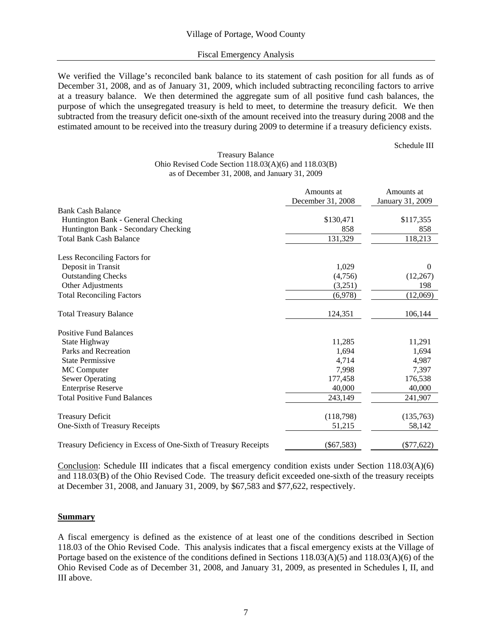#### Fiscal Emergency Analysis

<span id="page-8-0"></span>We verified the Village's reconciled bank balance to its statement of cash position for all funds as of December 31, 2008, and as of January 31, 2009, which included subtracting reconciling factors to arrive at a treasury balance. We then determined the aggregate sum of all positive fund cash balances, the purpose of which the unsegregated treasury is held to meet, to determine the treasury deficit. We then subtracted from the treasury deficit one-sixth of the amount received into the treasury during 2008 and the estimated amount to be received into the treasury during 2009 to determine if a treasury deficiency exists.

Schedule III

#### Treasury Balance Ohio Revised Code Section 118.03(A)(6) and 118.03(B) as of December 31, 2008, and January 31, 2009

|                                                                 | Amounts at<br>December 31, 2008 | Amounts at<br>January 31, 2009 |
|-----------------------------------------------------------------|---------------------------------|--------------------------------|
| <b>Bank Cash Balance</b>                                        |                                 |                                |
| Huntington Bank - General Checking                              | \$130,471                       | \$117,355                      |
| Huntington Bank - Secondary Checking                            | 858                             | 858                            |
| <b>Total Bank Cash Balance</b>                                  | 131,329                         | 118,213                        |
| Less Reconciling Factors for                                    |                                 |                                |
| Deposit in Transit                                              | 1,029                           | $\Omega$                       |
| <b>Outstanding Checks</b>                                       | (4,756)                         | (12,267)                       |
| Other Adjustments                                               | (3,251)                         | 198                            |
| <b>Total Reconciling Factors</b>                                | (6,978)                         | (12,069)                       |
| <b>Total Treasury Balance</b>                                   | 124,351                         | 106,144                        |
| <b>Positive Fund Balances</b>                                   |                                 |                                |
| State Highway                                                   | 11,285                          | 11,291                         |
| Parks and Recreation                                            | 1,694                           | 1,694                          |
| <b>State Permissive</b>                                         | 4,714                           | 4,987                          |
| MC Computer                                                     | 7,998                           | 7,397                          |
| <b>Sewer Operating</b>                                          | 177,458                         | 176,538                        |
| <b>Enterprise Reserve</b>                                       | 40,000                          | 40,000                         |
| <b>Total Positive Fund Balances</b>                             | 243,149                         | 241,907                        |
| <b>Treasury Deficit</b>                                         | (118,798)                       | (135,763)                      |
| One-Sixth of Treasury Receipts                                  | 51,215                          | 58,142                         |
| Treasury Deficiency in Excess of One-Sixth of Treasury Receipts | $(\$67,583)$                    | $(\$77,622)$                   |

Conclusion: Schedule III indicates that a fiscal emergency condition exists under Section 118.03(A)(6) and 118.03(B) of the Ohio Revised Code. The treasury deficit exceeded one-sixth of the treasury receipts at December 31, 2008, and January 31, 2009, by \$67,583 and \$77,622, respectively.

#### **Summary**

A fiscal emergency is defined as the existence of at least one of the conditions described in Section 118.03 of the Ohio Revised Code. This analysis indicates that a fiscal emergency exists at the Village of Portage based on the existence of the conditions defined in Sections 118.03(A)(5) and 118.03(A)(6) of the Ohio Revised Code as of December 31, 2008, and January 31, 2009, as presented in Schedules I, II, and III above.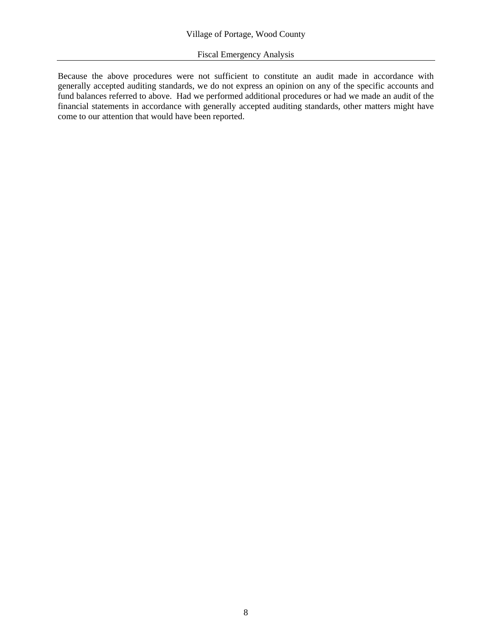#### Fiscal Emergency Analysis

Because the above procedures were not sufficient to constitute an audit made in accordance with generally accepted auditing standards, we do not express an opinion on any of the specific accounts and fund balances referred to above. Had we performed additional procedures or had we made an audit of the financial statements in accordance with generally accepted auditing standards, other matters might have come to our attention that would have been reported.